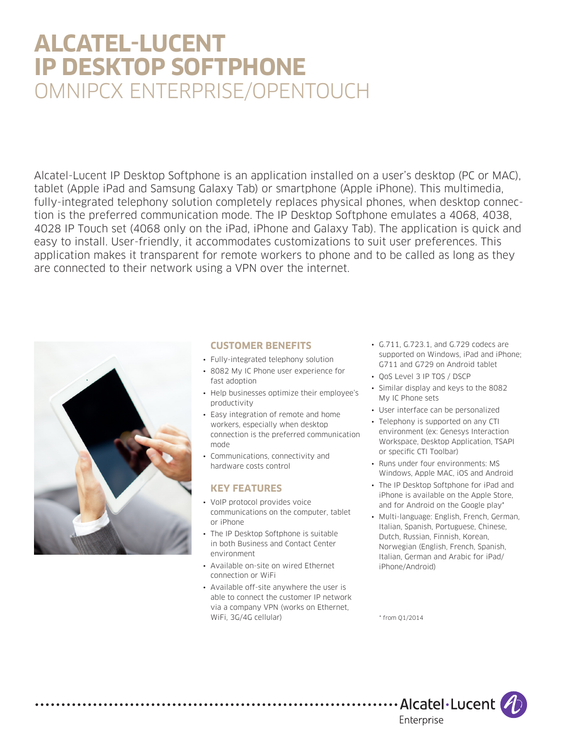# **ALCATEL-LUCENT IP DESKTOP SOFTPHONE**  OMNIPCX ENTERPRISE/OPENTOUCH

Alcatel-Lucent IP Desktop Softphone is an application installed on a user's desktop (PC or MAC), tablet (Apple iPad and Samsung Galaxy Tab) or smartphone (Apple iPhone). This multimedia, fully-integrated telephony solution completely replaces physical phones, when desktop connection is the preferred communication mode. The IP Desktop Softphone emulates a 4068, 4038, 4028 IP Touch set (4068 only on the iPad, iPhone and Galaxy Tab). The application is quick and easy to install. User-friendly, it accommodates customizations to suit user preferences. This application makes it transparent for remote workers to phone and to be called as long as they are connected to their network using a VPN over the internet.



. . . . . . . . . . . . . . . .

## **CUSTOMER BENEFITS**

- Fully-integrated telephony solution
- 8082 My IC Phone user experience for fast adoption
- Help businesses optimize their employee's productivity
- Easy integration of remote and home workers, especially when desktop connection is the preferred communication mode
- • Communications, connectivity and hardware costs control

## **KEY FEATURES**

- VoIP protocol provides voice communications on the computer, tablet or iPhone
- The IP Desktop Softphone is suitable in both Business and Contact Center environment
- • Available on-site on wired Ethernet connection or WiFi
- Available off-site anywhere the user is able to connect the customer IP network via a company VPN (works on Ethernet, WiFi, 3G/4G cellular)
- • G.711, G.723.1, and G.729 codecs are supported on Windows, iPad and iPhone; G711 and G729 on Android tablet
- OoS Level 3 IP TOS / DSCP
- Similar display and keys to the 8082 My IC Phone sets
- • User interface can be personalized
- Telephony is supported on any CTI environment (ex: Genesys Interaction Workspace, Desktop Application, TSAPI or specific CTI Toolbar)
- • Runs under four environments: MS Windows, Apple MAC, iOS and Android
- The IP Desktop Softphone for iPad and iPhone is available on the Apple Store, and for Android on the Google play\*
- • Multi-language: English, French, German, Italian, Spanish, Portuguese, Chinese, Dutch, Russian, Finnish, Korean, Norwegian (English, French, Spanish, Italian, German and Arabic for iPad/ iPhone/Android)

\* from Q1/2014

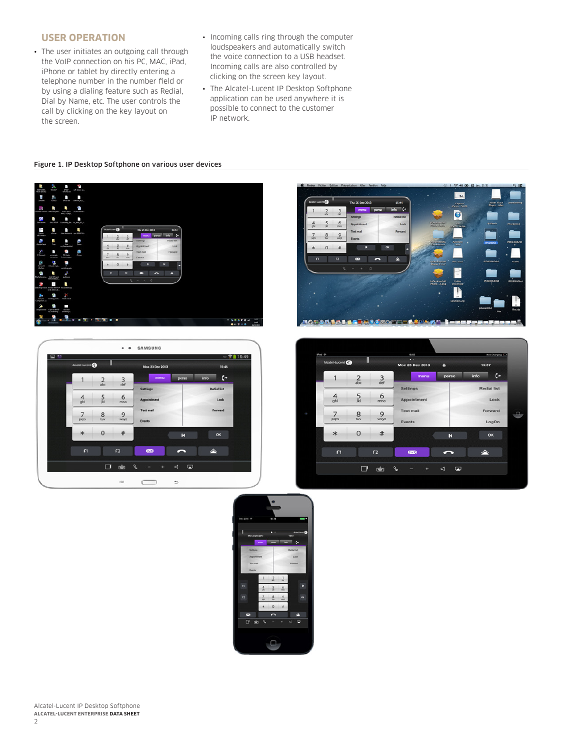## **USER OPERATION**

- The user initiates an outgoing call through the VoIP connection on his PC, MAC, iPad, iPhone or tablet by directly entering a telephone number in the number field or by using a dialing feature such as Redial, Dial by Name, etc. The user controls the call by clicking on the key layout on the screen.
- Incoming calls ring through the computer loudspeakers and automatically switch the voice connection to a USB headset. Incoming calls are also controlled by clicking on the screen key layout.
- The Alcatel-Lucent IP Desktop Softphone application can be used anywhere it is possible to connect to the customer IP network.

#### Figure 1. IP Desktop Softphone on various user devices







|  | iPad <sub>9</sub><br>Alcatel-Lucent |                       |                        | 16:05<br>$\bullet$     |              | <b>Not Charging CD</b> |            |
|--|-------------------------------------|-----------------------|------------------------|------------------------|--------------|------------------------|------------|
|  |                                     |                       |                        | <b>Mon 23 Dec 2013</b> | $\mathbf{a}$ |                        | 15:57      |
|  |                                     | $\overline{2}$<br>abc | $\frac{3}{\text{def}}$ | menu                   | perso        | info                   | $\epsilon$ |
|  |                                     |                       |                        | <b>Settings</b>        |              | <b>Redial list</b>     |            |
|  | $\overline{4}$<br>ghi               | $\frac{5}{16}$        | 6<br>mno               | Appointment            |              |                        | Lock       |
|  | $\overline{7}$                      | 8                     | 9                      | <b>Text mail</b>       |              |                        | Forward    |
|  | pars                                | tuv                   | wxyz                   | <b>Events</b>          |              |                        | LogOn      |
|  | $*$                                 | $\overline{0}$        | #                      |                        | к            |                        | OK         |
|  | F1                                  |                       | F <sub>2</sub>         | $\approx$              |              | △                      |            |



Alcatel-Lucent IP Desktop Softphone **ALCATEL-LUCENT ENTERPRISE DATA SHEET**